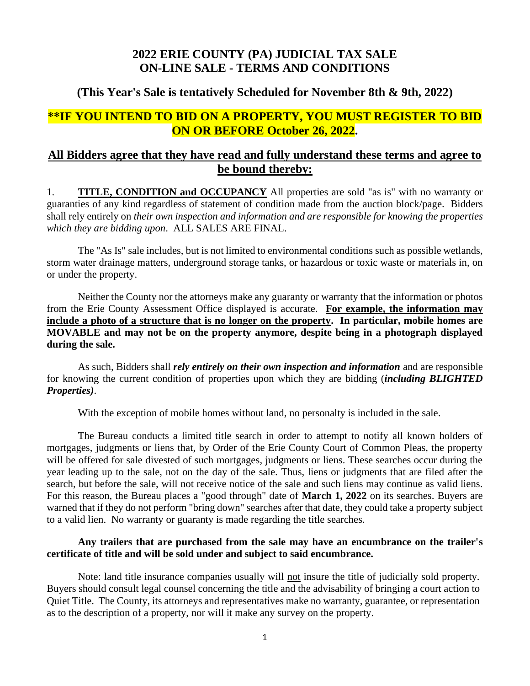## **2022 ERIE COUNTY (PA) JUDICIAL TAX SALE ON-LINE SALE - TERMS AND CONDITIONS**

## **(This Year's Sale is tentatively Scheduled for November 8th & 9th, 2022)**

## **\*\*IF YOU INTEND TO BID ON A PROPERTY, YOU MUST REGISTER TO BID ON OR BEFORE October 26, 2022.**

## **All Bidders agree that they have read and fully understand these terms and agree to be bound thereby:**

1. **TITLE, CONDITION and OCCUPANCY** All properties are sold "as is" with no warranty or guaranties of any kind regardless of statement of condition made from the auction block/page. Bidders shall rely entirely on *their own inspection and information and are responsible for knowing the properties which they are bidding upon*. ALL SALES ARE FINAL.

The "As Is" sale includes, but is not limited to environmental conditions such as possible wetlands, storm water drainage matters, underground storage tanks, or hazardous or toxic waste or materials in, on or under the property.

Neither the County nor the attorneys make any guaranty or warranty that the information or photos from the Erie County Assessment Office displayed is accurate. **For example, the information may include a photo of a structure that is no longer on the property. In particular, mobile homes are MOVABLE and may not be on the property anymore, despite being in a photograph displayed during the sale.**

As such, Bidders shall *rely entirely on their own inspection and information* and are responsible for knowing the current condition of properties upon which they are bidding (*including BLIGHTED Properties)*.

With the exception of mobile homes without land, no personalty is included in the sale.

The Bureau conducts a limited title search in order to attempt to notify all known holders of mortgages, judgments or liens that, by Order of the Erie County Court of Common Pleas, the property will be offered for sale divested of such mortgages, judgments or liens. These searches occur during the year leading up to the sale, not on the day of the sale. Thus, liens or judgments that are filed after the search, but before the sale, will not receive notice of the sale and such liens may continue as valid liens. For this reason, the Bureau places a "good through" date of **March 1, 2022** on its searches. Buyers are warned that if they do not perform "bring down" searches after that date, they could take a property subject to a valid lien. No warranty or guaranty is made regarding the title searches.

#### **Any trailers that are purchased from the sale may have an encumbrance on the trailer's certificate of title and will be sold under and subject to said encumbrance.**

Note: land title insurance companies usually will not insure the title of judicially sold property. Buyers should consult legal counsel concerning the title and the advisability of bringing a court action to Quiet Title. The County, its attorneys and representatives make no warranty, guarantee, or representation as to the description of a property, nor will it make any survey on the property.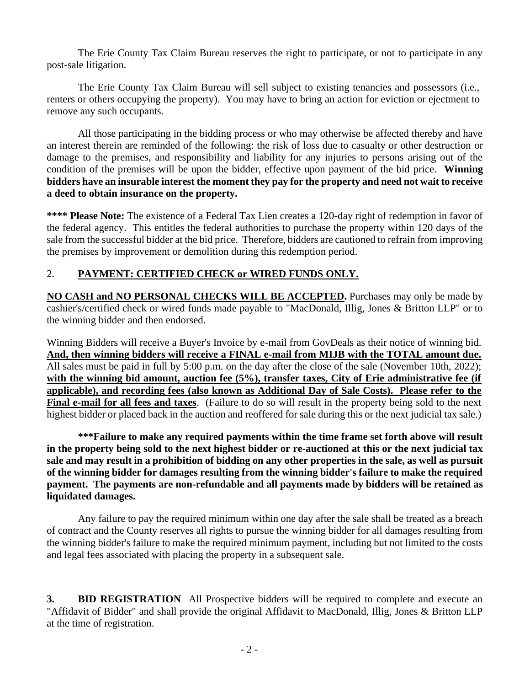The Erie County Tax Claim Bureau reserves the right to participate, or not to participate in any post-sale litigation.

The Erie County Tax Claim Bureau will sell subject to existing tenancies and possessors (i.e., renters or others occupying the property). You may have to bring an action for eviction or ejectment to remove any such occupants.

All those participating in the bidding process or who may otherwise be affected thereby and have an interest therein are reminded of the following: the risk of loss due to casualty or other destruction or damage to the premises, and responsibility and liability for any injuries to persons arising out of the condition of the premises will be upon the bidder, effective upon payment of the bid price. **Winning bidders have an insurable interest the moment they pay for the property and need not wait to receive a deed to obtain insurance on the property.**

**\*\*\*\* Please Note:** The existence of a Federal Tax Lien creates a 120-day right of redemption in favor of the federal agency. This entitles the federal authorities to purchase the property within 120 days of the sale from the successful bidder at the bid price. Therefore, bidders are cautioned to refrain from improving the premises by improvement or demolition during this redemption period.

## 2. **PAYMENT: CERTIFIED CHECK or WIRED FUNDS ONLY.**

**NO CASH and NO PERSONAL CHECKS WILL BE ACCEPTED.** Purchases may only be made by cashier's/certified check or wired funds made payable to "MacDonald, Illig, Jones & Britton LLP" or to the winning bidder and then endorsed.

Winning Bidders will receive a Buyer's Invoice by e-mail from GovDeals as their notice of winning bid. **And, then winning bidders will receive a FINAL e-mail from MIJB with the TOTAL amount due.** All sales must be paid in full by 5:00 p.m. on the day after the close of the sale (November 10th, 2022); with the winning bid amount, auction fee (5%), transfer taxes, City of Erie administrative fee (if **applicable), and recording fees (also known as Additional Day of Sale Costs). Please refer to the Final e-mail for all fees and taxes**. (Failure to do so will result in the property being sold to the next highest bidder or placed back in the auction and reoffered for sale during this or the next judicial tax sale.)

**\*\*\*Failure to make any required payments within the time frame set forth above will result in the property being sold to the next highest bidder or re-auctioned at this or the next judicial tax sale and may result in a prohibition of bidding on any other properties in the sale, as well as pursuit of the winning bidder for damages resulting from the winning bidder's failure to make the required payment. The payments are non-refundable and all payments made by bidders will be retained as liquidated damages.**

Any failure to pay the required minimum within one day after the sale shall be treated as a breach of contract and the County reserves all rights to pursue the winning bidder for all damages resulting from the winning bidder's failure to make the required minimum payment, including but not limited to the costs and legal fees associated with placing the property in a subsequent sale.

**3. BID REGISTRATION** All Prospective bidders will be required to complete and execute an "Affidavit of Bidder" and shall provide the original Affidavit to MacDonald, Illig, Jones & Britton LLP at the time of registration.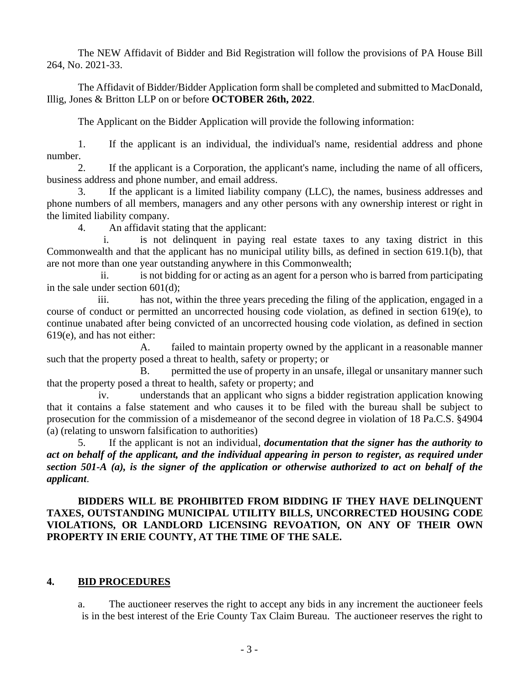The NEW Affidavit of Bidder and Bid Registration will follow the provisions of PA House Bill 264, No. 2021-33.

The Affidavit of Bidder/Bidder Application form shall be completed and submitted to MacDonald, Illig, Jones & Britton LLP on or before **OCTOBER 26th, 2022**.

The Applicant on the Bidder Application will provide the following information:

1. If the applicant is an individual, the individual's name, residential address and phone number.

2. If the applicant is a Corporation, the applicant's name, including the name of all officers, business address and phone number, and email address.

3. If the applicant is a limited liability company (LLC), the names, business addresses and phone numbers of all members, managers and any other persons with any ownership interest or right in the limited liability company.

4. An affidavit stating that the applicant:

i. is not delinquent in paying real estate taxes to any taxing district in this Commonwealth and that the applicant has no municipal utility bills, as defined in section 619.1(b), that are not more than one year outstanding anywhere in this Commonwealth;

ii. is not bidding for or acting as an agent for a person who is barred from participating in the sale under section 601(d);

iii. has not, within the three years preceding the filing of the application, engaged in a course of conduct or permitted an uncorrected housing code violation, as defined in section 619(e), to continue unabated after being convicted of an uncorrected housing code violation, as defined in section 619(e), and has not either:

A. failed to maintain property owned by the applicant in a reasonable manner such that the property posed a threat to health, safety or property; or

B. permitted the use of property in an unsafe, illegal or unsanitary manner such that the property posed a threat to health, safety or property; and

iv. understands that an applicant who signs a bidder registration application knowing that it contains a false statement and who causes it to be filed with the bureau shall be subject to prosecution for the commission of a misdemeanor of the second degree in violation of 18 Pa.C.S. §4904 (a) (relating to unsworn falsification to authorities)

5. If the applicant is not an individual, *documentation that the signer has the authority to act on behalf of the applicant, and the individual appearing in person to register, as required under section 501-A (a), is the signer of the application or otherwise authorized to act on behalf of the applicant*.

### **BIDDERS WILL BE PROHIBITED FROM BIDDING IF THEY HAVE DELINQUENT TAXES, OUTSTANDING MUNICIPAL UTILITY BILLS, UNCORRECTED HOUSING CODE VIOLATIONS, OR LANDLORD LICENSING REVOATION, ON ANY OF THEIR OWN PROPERTY IN ERIE COUNTY, AT THE TIME OF THE SALE.**

### **4. BID PROCEDURES**

a. The auctioneer reserves the right to accept any bids in any increment the auctioneer feels is in the best interest of the Erie County Tax Claim Bureau. The auctioneer reserves the right to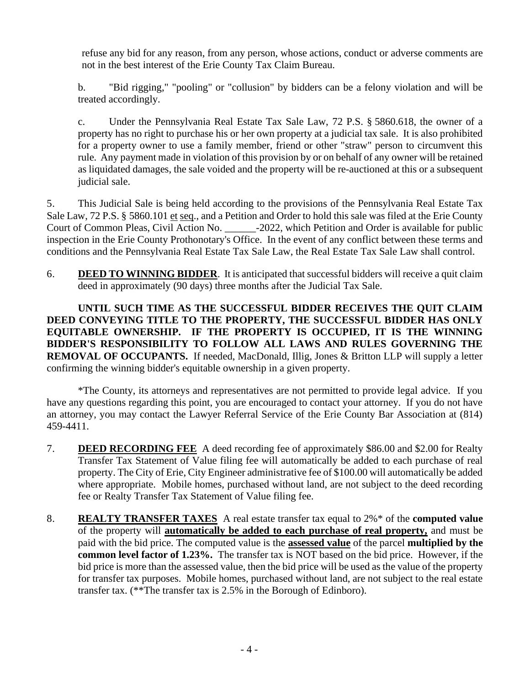refuse any bid for any reason, from any person, whose actions, conduct or adverse comments are not in the best interest of the Erie County Tax Claim Bureau.

b. "Bid rigging," "pooling" or "collusion" by bidders can be a felony violation and will be treated accordingly.

c. Under the Pennsylvania Real Estate Tax Sale Law, 72 P.S. § 5860.618, the owner of a property has no right to purchase his or her own property at a judicial tax sale. It is also prohibited for a property owner to use a family member, friend or other "straw" person to circumvent this rule. Any payment made in violation of this provision by or on behalf of any owner will be retained as liquidated damages, the sale voided and the property will be re-auctioned at this or a subsequent judicial sale.

5. This Judicial Sale is being held according to the provisions of the Pennsylvania Real Estate Tax Sale Law, 72 P.S. § 5860.101 et seq., and a Petition and Order to hold this sale was filed at the Erie County Court of Common Pleas, Civil Action No. \_\_\_\_\_\_-2022, which Petition and Order is available for public inspection in the Erie County Prothonotary's Office. In the event of any conflict between these terms and conditions and the Pennsylvania Real Estate Tax Sale Law, the Real Estate Tax Sale Law shall control.

6. **DEED TO WINNING BIDDER**. It is anticipated that successful bidders will receive a quit claim deed in approximately (90 days) three months after the Judicial Tax Sale.

**UNTIL SUCH TIME AS THE SUCCESSFUL BIDDER RECEIVES THE QUIT CLAIM DEED CONVEYING TITLE TO THE PROPERTY, THE SUCCESSFUL BIDDER HAS ONLY EQUITABLE OWNERSHIP. IF THE PROPERTY IS OCCUPIED, IT IS THE WINNING BIDDER'S RESPONSIBILITY TO FOLLOW ALL LAWS AND RULES GOVERNING THE REMOVAL OF OCCUPANTS.** If needed, MacDonald, Illig, Jones & Britton LLP will supply a letter confirming the winning bidder's equitable ownership in a given property.

\*The County, its attorneys and representatives are not permitted to provide legal advice. If you have any questions regarding this point, you are encouraged to contact your attorney. If you do not have an attorney, you may contact the Lawyer Referral Service of the Erie County Bar Association at (814) 459-4411.

- 7. **DEED RECORDING FEE** A deed recording fee of approximately \$86.00 and \$2.00 for Realty Transfer Tax Statement of Value filing fee will automatically be added to each purchase of real property. The City of Erie, City Engineer administrative fee of \$100.00 will automatically be added where appropriate. Mobile homes, purchased without land, are not subject to the deed recording fee or Realty Transfer Tax Statement of Value filing fee.
- 8. **REALTY TRANSFER TAXES** A real estate transfer tax equal to 2%\* of the **computed value**  of the property will **automatically be added to each purchase of real property,** and must be paid with the bid price. The computed value is the **assessed value** of the parcel **multiplied by the common level factor of 1.23%.** The transfer tax is NOT based on the bid price. However, if the bid price is more than the assessed value, then the bid price will be used as the value of the property for transfer tax purposes. Mobile homes, purchased without land, are not subject to the real estate transfer tax. (\*\*The transfer tax is 2.5% in the Borough of Edinboro).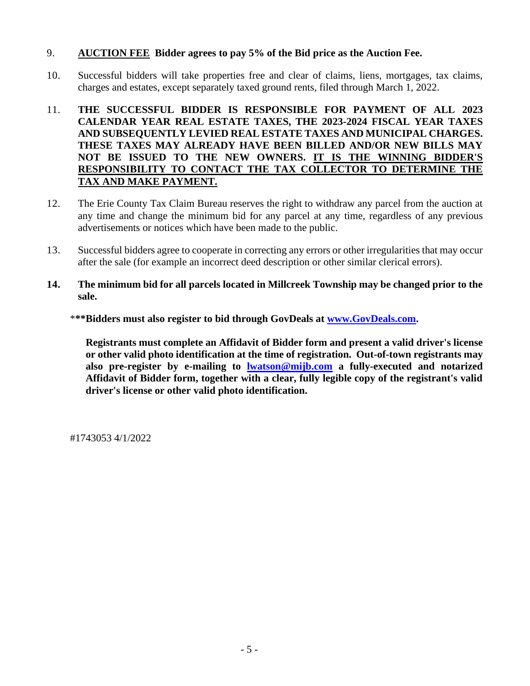### 9. **AUCTION FEE Bidder agrees to pay 5% of the Bid price as the Auction Fee.**

- 10. Successful bidders will take properties free and clear of claims, liens, mortgages, tax claims, charges and estates, except separately taxed ground rents, filed through March 1, 2022.
- 11. **THE SUCCESSFUL BIDDER IS RESPONSIBLE FOR PAYMENT OF ALL 2023 CALENDAR YEAR REAL ESTATE TAXES, THE 2023-2024 FISCAL YEAR TAXES AND SUBSEQUENTLY LEVIED REAL ESTATE TAXES AND MUNICIPAL CHARGES. THESE TAXES MAY ALREADY HAVE BEEN BILLED AND/OR NEW BILLS MAY NOT BE ISSUED TO THE NEW OWNERS. IT IS THE WINNING BIDDER'S RESPONSIBILITY TO CONTACT THE TAX COLLECTOR TO DETERMINE THE TAX AND MAKE PAYMENT.**
- 12. The Erie County Tax Claim Bureau reserves the right to withdraw any parcel from the auction at any time and change the minimum bid for any parcel at any time, regardless of any previous advertisements or notices which have been made to the public.
- 13. Successful bidders agree to cooperate in correcting any errors or other irregularities that may occur after the sale (for example an incorrect deed description or other similar clerical errors).
- **14. The minimum bid for all parcels located in Millcreek Township may be changed prior to the sale.**
	- \***\*\*Bidders must also register to bid through GovDeals at [www.GovDeals.com.](http://www.govdeals.com/)**

**Registrants must complete an Affidavit of Bidder form and present a valid driver's license or other valid photo identification at the time of registration. Out-of-town registrants may also pre-register by e-mailing to [lwatson@mijb.com](mailto:lwatson@mijb.com) a fully-executed and notarized Affidavit of Bidder form, together with a clear, fully legible copy of the registrant's valid driver's license or other valid photo identification.**

#1743053 4/1/2022